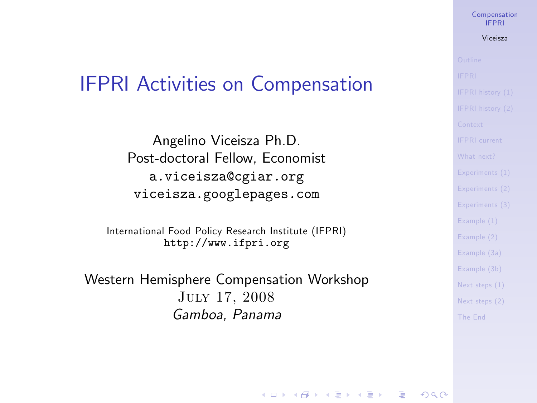# IFPRI Activities on Compensation

Angelino Viceisza Ph.D. Post-doctoral Fellow, Economist <a.viceisza@cgiar.org> <viceisza.googlepages.com>

International Food Policy Research Institute (IFPRI) <http://www.ifpri.org>

<span id="page-0-0"></span>Western Hemisphere Compensation Workshop July 17, 2008 Gamboa, Panama

### [Compensation](#page-17-0) IFPRI

### Viceisza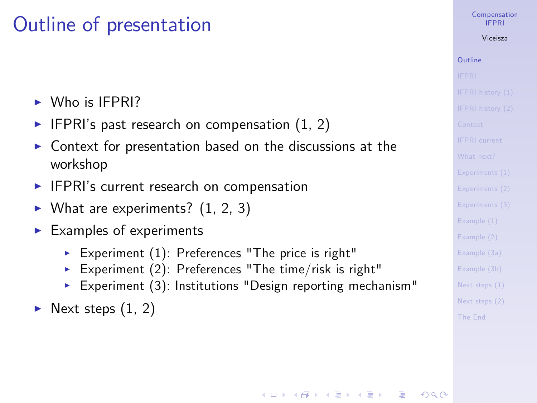# Outline of presentation

- $\triangleright$  Who is IFPRI?
- $\blacktriangleright$  IFPRI's past research on compensation (1, 2)
- $\triangleright$  Context for presentation based on the discussions at the workshop
- $\blacktriangleright$  IFPRI's current research on compensation
- $\blacktriangleright$  What are experiments? (1, 2, 3)
- $\blacktriangleright$  Examples of experiments
	- Experiment  $(1)$ : Preferences "The price is right"
	- Experiment  $(2)$ : Preferences "The time/risk is right"
	- Experiment  $(3)$ : Institutions "Design reporting mechanism"

**KORKA SERKER ORA** 

<span id="page-1-0"></span> $\blacktriangleright$  Next steps (1, 2)

### [Compensation](#page-0-0) IFPRI

## Viceisza

# [Outline](#page-1-0)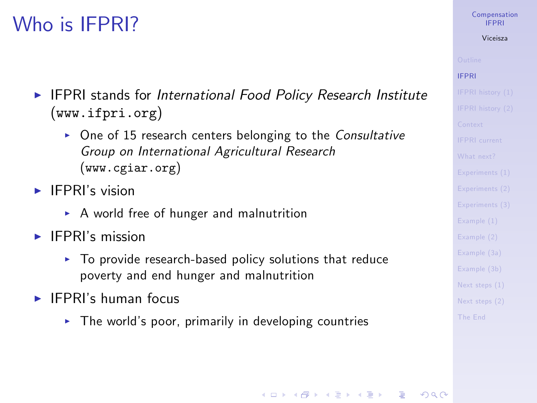# Who is IFPRI?

- $\blacktriangleright$  IFPRI stands for International Food Policy Research Institute (<www.ifpri.org>)
	- $\triangleright$  One of 15 research centers belonging to the Consultative Group on International Agricultural Research (<www.cgiar.org>)
- $\blacktriangleright$  IFPRI's vision
	- $\triangleright$  A world free of hunger and malnutrition
- $\blacktriangleright$  IFPRI's mission
	- $\triangleright$  To provide research-based policy solutions that reduce poverty and end hunger and malnutrition
- <span id="page-2-0"></span> $\blacktriangleright$  IFPRI's human focus
	- $\triangleright$  The world's poor, primarily in developing countries

### [Compensation](#page-0-0) IFPRI

### Viceisza

### [IFPRI](#page-2-0)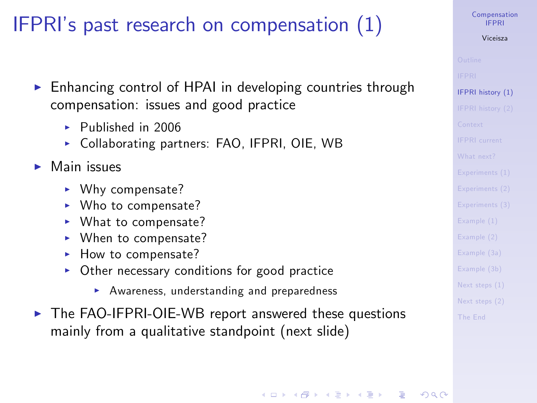# IFPRIís past research on compensation (1)

- $\triangleright$  Enhancing control of HPAI in developing countries through compensation: issues and good practice
	- $\blacktriangleright$  Published in 2006
	- ▶ Collaborating partners: FAO, IFPRI, OIE, WB
- $\blacktriangleright$  Main issues
	- $\triangleright$  Why compensate?
	- $\blacktriangleright$  Who to compensate?
	- $\blacktriangleright$  What to compensate?
	- $\triangleright$  When to compensate?
	- $\blacktriangleright$  How to compensate?
	- $\triangleright$  Other necessary conditions for good practice
		- $\triangleright$  Awareness, understanding and preparedness
- <span id="page-3-0"></span> $\triangleright$  The FAO-IFPRI-OIE-WB report answered these questions mainly from a qualitative standpoint (next slide)

# [Compensation](#page-0-0) IFPRI Viceisza [IFPRI history \(1\)](#page-3-0)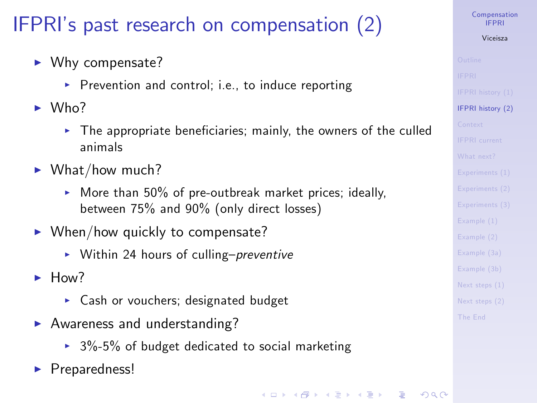# IFPRIís past research on compensation (2)

- $\blacktriangleright$  Why compensate?
	- Prevention and control; i.e., to induce reporting
- $\blacktriangleright$  Who?
	- $\triangleright$  The appropriate beneficiaries; mainly, the owners of the culled animals
- $\blacktriangleright$  What/how much?
	- $\blacktriangleright$  More than 50% of pre-outbreak market prices; ideally, between 75% and 90% (only direct losses)
- $\blacktriangleright$  When/how quickly to compensate?
	- $\triangleright$  Within 24 hours of culling-preventive
- $H_{OM}$ 
	- ▶ Cash or vouchers; designated budget
- $\blacktriangleright$  Awareness and understanding?
	- $\rightarrow$  3%-5% of budget dedicated to social marketing
- <span id="page-4-0"></span>▶ Preparedness!

[Compensation](#page-0-0) IFPRI Viceisza

[IFPRI history \(2\)](#page-4-0)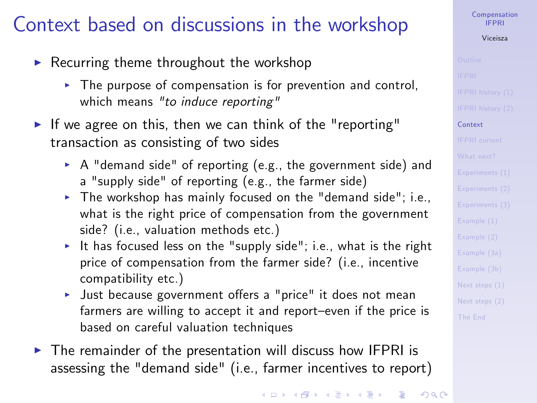# Context based on discussions in the workshop

- $\blacktriangleright$  Recurring theme throughout the workshop
	- $\triangleright$  The purpose of compensation is for prevention and control, which means "to induce reporting"
- If we agree on this, then we can think of the "reporting" transaction as consisting of two sides
	- $\triangleright$  A "demand side" of reporting (e.g., the government side) and a "supply side" of reporting (e.g., the farmer side)
	- $\blacktriangleright$  The workshop has mainly focused on the "demand side"; i.e., what is the right price of compensation from the government side? (i.e., valuation methods etc.)
	- It has focused less on the "supply side"; i.e., what is the right price of compensation from the farmer side? (i.e., incentive compatibility etc.)
	- ▶ Just because government offers a "price" it does not mean farmers are willing to accept it and report-even if the price is based on careful valuation techniques
- <span id="page-5-0"></span> $\triangleright$  The remainder of the presentation will discuss how IFPRI is assessing the "demand side" (i.e., farmer incentives to report)

[Compensation](#page-0-0) IFPRI

# Viceisza

# [Context](#page-5-0)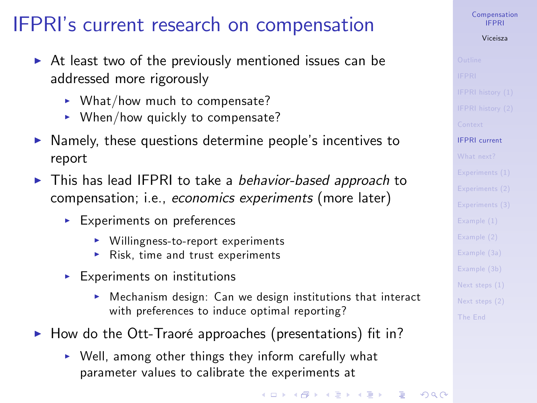# IFPRIís current research on compensation

- $\triangleright$  At least two of the previously mentioned issues can be addressed more rigorously
	- $\blacktriangleright$  What/how much to compensate?
	- $\blacktriangleright$  When/how quickly to compensate?
- $\blacktriangleright$  Namely, these questions determine people's incentives to report
- ▶ This has lead IFPRI to take a *behavior-based approach* to compensation; i.e., economics experiments (more later)
	- $\blacktriangleright$  Experiments on preferences
		- $\triangleright$  Willingness-to-report experiments
		- $\blacktriangleright$  Risk, time and trust experiments
	- $\blacktriangleright$  Experiments on institutions
		- $\triangleright$  Mechanism design: Can we design institutions that interact with preferences to induce optimal reporting?
- <span id="page-6-0"></span> $\blacktriangleright$  How do the Ott-Traoré approaches (presentations) fit in?
	- $\triangleright$  Well, among other things they inform carefully what parameter values to calibrate the experiments at

[Compensation](#page-0-0) IFPRI

# Viceisza

## [IFPRI current](#page-6-0)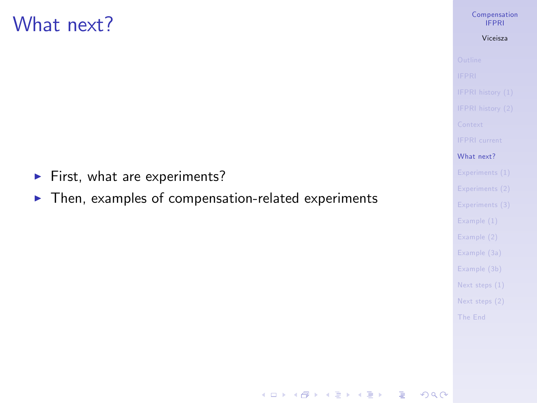# What next?

- $\blacktriangleright$  First, what are experiments?
- <span id="page-7-0"></span> $\blacktriangleright$  Then, examples of compensation-related experiments

### [Compensation](#page-0-0) IFPRI

# Viceisza

[What next?](#page-7-0)

[Example \(3a\)](#page-13-0)

[Example \(3b\)](#page-14-0)

[Next steps \(1\)](#page-15-0)

[Next steps \(2\)](#page-16-0)

**KORK EXTER A BY A GACK**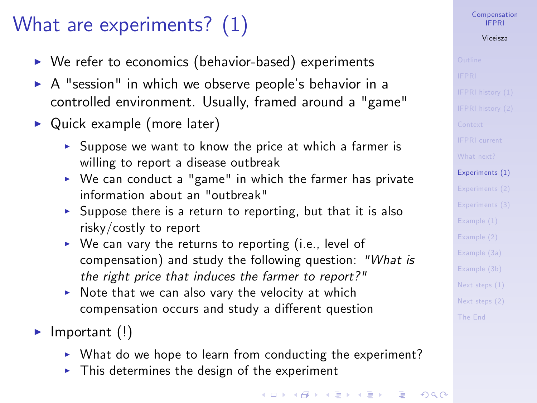# What are experiments? (1)

- $\triangleright$  We refer to economics (behavior-based) experiments
- $\triangleright$  A "session" in which we observe people's behavior in a controlled environment. Usually, framed around a "game"
- $\triangleright$  Quick example (more later)
	- $\triangleright$  Suppose we want to know the price at which a farmer is willing to report a disease outbreak
	- $\triangleright$  We can conduct a "game" in which the farmer has private information about an "outbreak"
	- $\triangleright$  Suppose there is a return to reporting, but that it is also risky/costly to report
	- $\triangleright$  We can vary the returns to reporting (i.e., level of compensation) and study the following question: "What is the right price that induces the farmer to report?"
	- $\triangleright$  Note that we can also vary the velocity at which compensation occurs and study a different question
- <span id="page-8-0"></span> $\blacktriangleright$  Important (!)
	- $\triangleright$  What do we hope to learn from conducting the experiment?
	- $\blacktriangleright$  This determines the design of the experiment

[Compensation](#page-0-0) IFPRI Viceisza

[Experiments \(1\)](#page-8-0)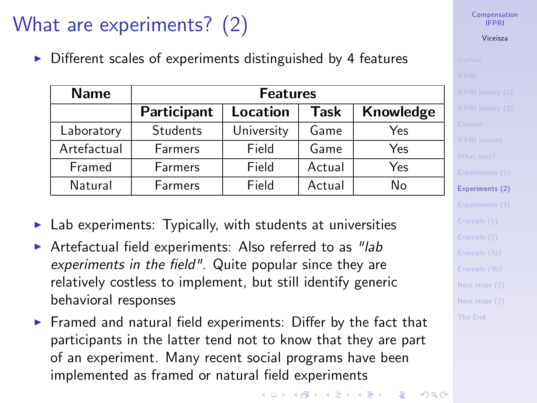# What are experiments? (2)

 $\triangleright$  Different scales of experiments distinguished by 4 features

| <b>Name</b> | <b>Features</b> |            |        |           |
|-------------|-----------------|------------|--------|-----------|
|             | Participant     | Location   | Task   | Knowledge |
| Laboratory  | Students        | University | Game   | Yes       |
| Artefactual | Farmers         | Field      | Game   | Yes       |
| Framed      | Farmers         | Field      | Actual | Yes       |
| Natural     | <b>Farmers</b>  | Field      | Actual | N٥        |

- $\blacktriangleright$  Lab experiments: Typically, with students at universities
- Artefactual field experiments: Also referred to as "lab experiments in the field". Quite popular since they are relatively costless to implement, but still identify generic behavioral responses
- <span id="page-9-0"></span> $\triangleright$  Framed and natural field experiments: Differ by the fact that participants in the latter tend not to know that they are part of an experiment. Many recent social programs have been implemented as framed or natural field experiments

[Compensation](#page-0-0) IFPRI

# Viceisza

[Experiments \(2\)](#page-9-0)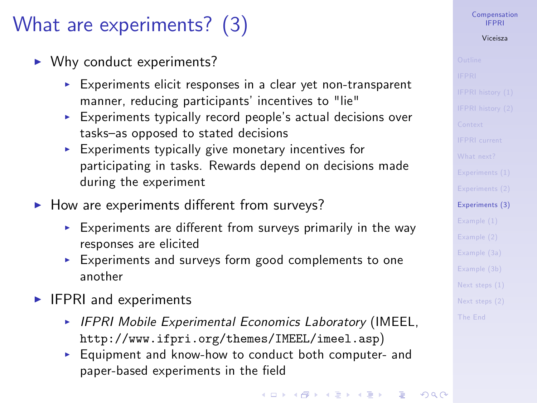# What are experiments? (3)

- $\blacktriangleright$  Why conduct experiments?
	- $\blacktriangleright$  Experiments elicit responses in a clear yet non-transparent manner, reducing participants' incentives to "lie"
	- $\blacktriangleright$  Experiments typically record people's actual decisions over tasks-as opposed to stated decisions
	- $\triangleright$  Experiments typically give monetary incentives for participating in tasks. Rewards depend on decisions made during the experiment
- $\blacktriangleright$  How are experiments different from surveys?
	- Experiments are different from surveys primarily in the way responses are elicited
	- $\triangleright$  Experiments and surveys form good complements to one another
- <span id="page-10-0"></span> $\blacktriangleright$  IFPRI and experiments
	- $\triangleright$  IFPRI Mobile Experimental Economics Laboratory (IMEEL, <http://www.ifpri.org/themes/IMEEL/imeel.asp>)
	- $\blacktriangleright$  Equipment and know-how to conduct both computer- and paper-based experiments in the field

## Viceisza

[Experiments \(3\)](#page-10-0)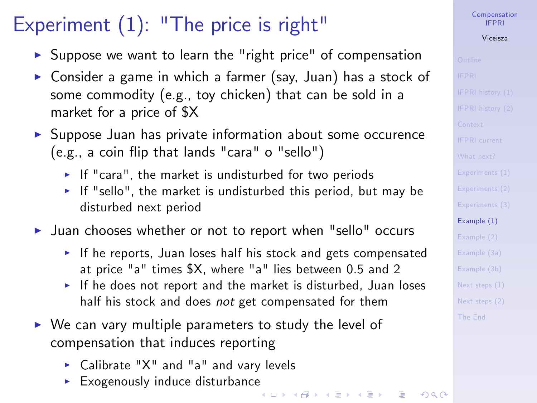# Experiment (1): "The price is right"

- **>** Suppose we want to learn the "right price" of compensation
- $\triangleright$  Consider a game in which a farmer (say, Juan) has a stock of some commodity (e.g., toy chicken) that can be sold in a market for a price of \$X
- $\triangleright$  Suppose Juan has private information about some occurence (e.g., a coin flip that lands "cara" o "sello")
	- $\blacktriangleright$  If "cara", the market is undisturbed for two periods
	- If "sello", the market is undisturbed this period, but may be disturbed next period
- ▶ Juan chooses whether or not to report when "sello" occurs
	- If he reports, Juan loses half his stock and gets compensated at price "a" times \$X, where "a" lies between 0.5 and 2
	- $\blacktriangleright$  If he does not report and the market is disturbed, Juan loses half his stock and does not get compensated for them
- <span id="page-11-0"></span> $\triangleright$  We can vary multiple parameters to study the level of compensation that induces reporting
	- $\triangleright$  Calibrate "X" and "a" and vary levels
	- $\blacktriangleright$  $\blacktriangleright$  $\blacktriangleright$  Exogenously induce disturbance

[Compensation](#page-0-0) IFPRI

## Viceisza

[Example \(1\)](#page-11-0)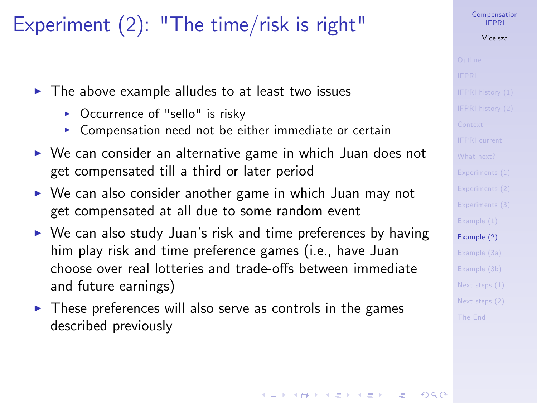# Experiment (2): "The time/risk is right"

- $\blacktriangleright$  The above example alludes to at least two issues
	- $\triangleright$  Occurrence of "sello" is risky
	- $\triangleright$  Compensation need not be either immediate or certain
- $\triangleright$  We can consider an alternative game in which Juan does not get compensated till a third or later period
- $\triangleright$  We can also consider another game in which Juan may not get compensated at all due to some random event
- $\triangleright$  We can also study Juan's risk and time preferences by having him play risk and time preference games (i.e., have Juan choose over real lotteries and trade-offs between immediate and future earnings)
- <span id="page-12-0"></span> $\triangleright$  These preferences will also serve as controls in the games described previously

[Compensation](#page-0-0) IFPRI

### Viceisza

# [Example \(2\)](#page-12-0)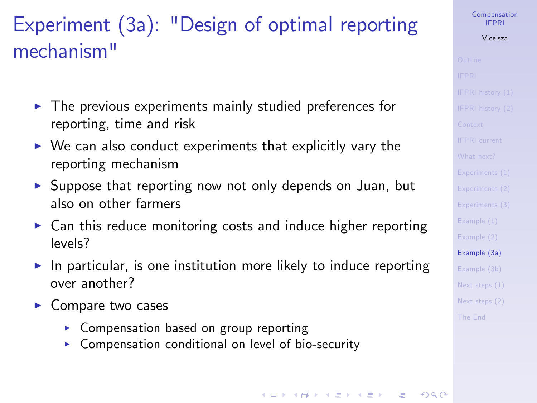# Experiment (3a): "Design of optimal reporting mechanism"

- $\blacktriangleright$  The previous experiments mainly studied preferences for reporting, time and risk
- $\triangleright$  We can also conduct experiments that explicitly vary the reporting mechanism
- $\triangleright$  Suppose that reporting now not only depends on Juan, but also on other farmers
- $\triangleright$  Can this reduce monitoring costs and induce higher reporting levels?
- $\blacktriangleright$  In particular, is one institution more likely to induce reporting over another?
- <span id="page-13-0"></span> $\blacktriangleright$  Compare two cases
	- $\triangleright$  Compensation based on group reporting
	- $\triangleright$  Compensation conditional on level of bio-security

[Compensation](#page-0-0) IFPRI

## Viceisza

[Example \(3a\)](#page-13-0)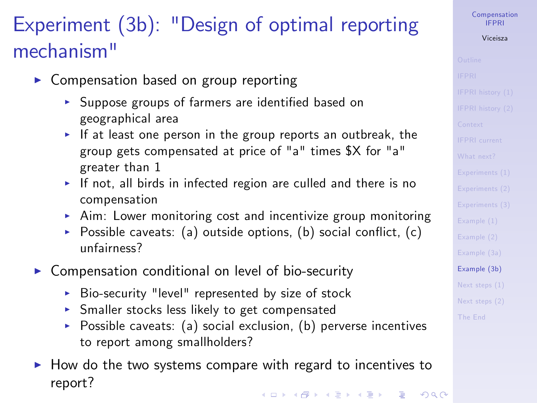# Experiment (3b): "Design of optimal reporting mechanism"

- $\triangleright$  Compensation based on group reporting
	- $\triangleright$  Suppose groups of farmers are identified based on geographical area
	- If at least one person in the group reports an outbreak, the group gets compensated at price of "a" times \$X for "a" greater than 1
	- If not, all birds in infected region are culled and there is no compensation
	- $\triangleright$  Aim: Lower monitoring cost and incentivize group monitoring
	- Possible caveats: (a) outside options, (b) social conflict, (c) unfairness?
- $\triangleright$  Compensation conditional on level of bio-security
	- $\triangleright$  Bio-security "level" represented by size of stock
	- $\triangleright$  Smaller stocks less likely to get compensated
	- Possible caveats: (a) social exclusion, (b) perverse incentives to report among smallholders?
- <span id="page-14-0"></span> $\blacktriangleright$  How do the two systems compare with regard to incentives to report?

### [Compensation](#page-0-0) IFPRI

# Viceisza

[Example \(3b\)](#page-14-0)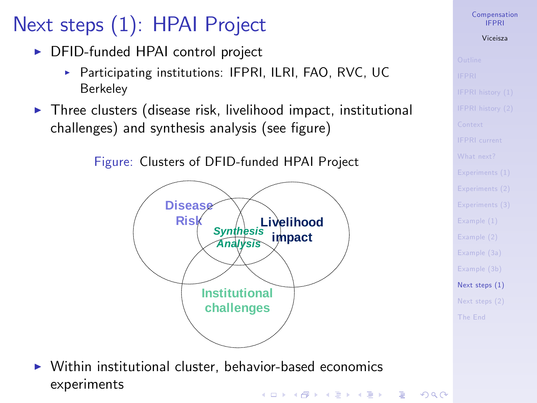# Next steps (1): HPAI Project

- ▶ DFID-funded HPAI control project
	- $\triangleright$  Participating institutions: IFPRI, ILRI, FAO, RVC, UC Berkeley
- $\triangleright$  Three clusters (disease risk, livelihood impact, institutional challenges) and synthesis analysis (see figure)

Figure: Clusters of DFID-funded HPAI Project



[Compensation](#page-0-0) IFPRI Viceisza

- 
- 
- 
- 
- 
- [Next steps \(1\)](#page-15-0)
- 

<span id="page-15-0"></span> $\triangleright$  Within institutional cluster, behavior-based economics experiments**KORKA SERKER ORA**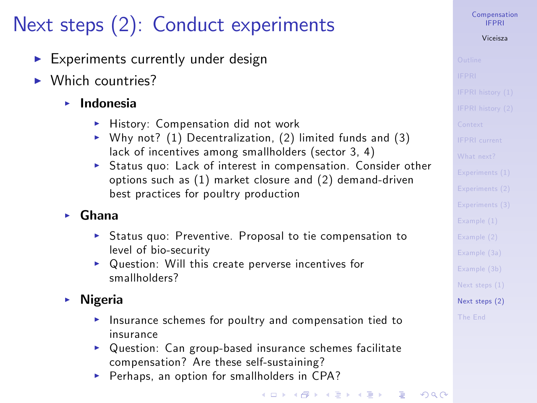# Next steps (2): Conduct experiments

- $\blacktriangleright$  Experiments currently under design
- $\blacktriangleright$  Which countries?
	- $\blacktriangleright$  Indonesia
		- $\blacktriangleright$  History: Compensation did not work
		- $\triangleright$  Why not? (1) Decentralization, (2) limited funds and (3) lack of incentives among smallholders (sector 3, 4)
		- $\triangleright$  Status quo: Lack of interest in compensation. Consider other options such as (1) market closure and (2) demand-driven best practices for poultry production

# $\blacktriangleright$  Ghana

- ▶ Status quo: Preventive. Proposal to tie compensation to level of bio-security
- $\triangleright$  Question: Will this create perverse incentives for smallholders?

# $\triangleright$  Nigeria

- $\blacktriangleright$  Insurance schemes for poultry and compensation tied to insurance
- $\triangleright$  Question: Can group-based insurance schemes facilitate compensation? Are these self-sustaining?
- <span id="page-16-0"></span> $\blacktriangleright$  Perhaps, an option for smallholders in CPA?

[Compensation](#page-0-0) IFPRI

## Viceisza

[Next steps \(2\)](#page-16-0)